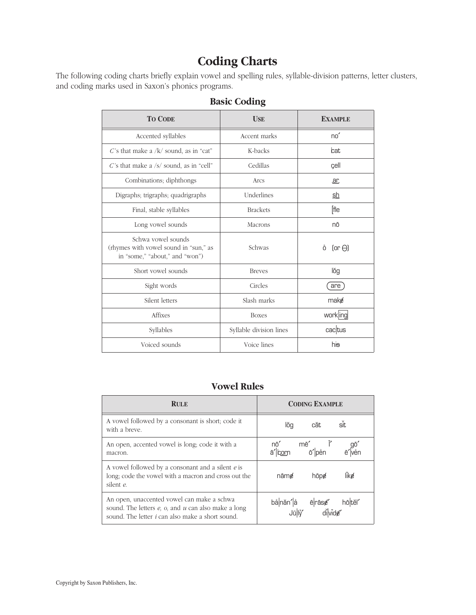# **Coding Charts**

The following coding charts briefly explain vowel and spelling rules, syllable-division patterns, letter clusters, and coding marks used in Saxon's phonics programs.

| <b>TO CODE</b>                                                                                | <b>USE</b>              | <b>EXAMPLE</b>     |
|-----------------------------------------------------------------------------------------------|-------------------------|--------------------|
| Accented syllables                                                                            | Accent marks            | no'                |
| C's that make a /k/ sound, as in "cat"                                                        | K-backs                 | cat                |
| C's that make a $/s/$ sound, as in "cell"                                                     | Cedillas                | cell               |
| Combinations; diphthongs                                                                      | Arcs                    | <u>ar</u>          |
| Digraphs; trigraphs; quadrigraphs                                                             | Underlines              | <u>sh</u>          |
| Final, stable syllables                                                                       | <b>Brackets</b>         | [fle               |
| Long vowel sounds                                                                             | Macrons                 | nō                 |
| Schwa vowel sounds<br>(rhymes with vowel sound in "sun," as<br>in "some," "about," and "won") | Schwas                  | $0$ (or $\Theta$ ) |
| Short vowel sounds                                                                            | <b>Breves</b>           | lŏg                |
| Sight words                                                                                   | Circles                 | are                |
| Silent letters                                                                                | Slash marks             | make               |
| Affixes                                                                                       | <b>Boxes</b>            | workling           |
| Syllables                                                                                     | Syllable division lines | cactus             |
| Voiced sounds                                                                                 | Voice lines             | hi <del>s</del>    |

#### **Basic Coding**

#### **Vowel Rules**

| <b>RULE</b>                                                                                                                                                          | <b>CODING EXAMPLE</b>                   |
|----------------------------------------------------------------------------------------------------------------------------------------------------------------------|-----------------------------------------|
| A vowel followed by a consonant is short; code it<br>with a breve.                                                                                                   | sit<br>căt<br>lŏg                       |
| An open, accented vowel is long; code it with a<br>macron.                                                                                                           | nō'<br>mē'<br>ō' pen<br>ve็n<br>ā' corn |
| A vowel followed by a consonant and a silent e is<br>long; code the vowel with a macron and cross out the<br>silent e.                                               | like<br>nāme<br>hōpe                    |
| An open, unaccented vowel can make a schwa<br>sound. The letters $e$ , $o$ , and $u$ can also make a long<br>sound. The letter <i>i</i> can also make a short sound. | bå năn' å ē rās¢'<br>hōtěľ              |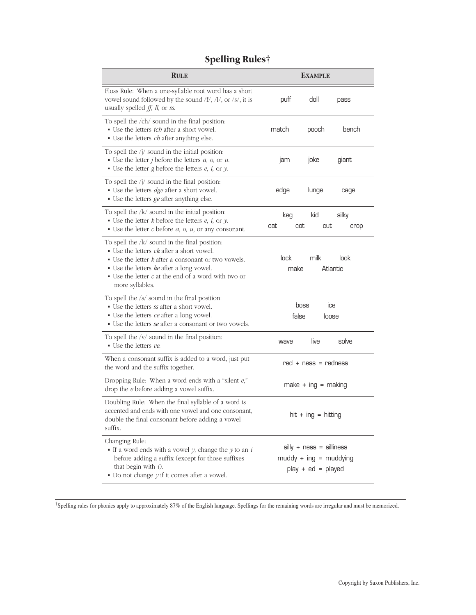| <b>RULE</b>                                                                                                                                                                                                                                                                                          |                     | <b>EXAMPLE</b>                                                                 |                          |
|------------------------------------------------------------------------------------------------------------------------------------------------------------------------------------------------------------------------------------------------------------------------------------------------------|---------------------|--------------------------------------------------------------------------------|--------------------------|
| Floss Rule: When a one-syllable root word has a short<br>vowel sound followed by the sound $/f/$ , $/l/$ , or $/s/$ , it is<br>usually spelled $ff$ , $ll$ , or ss.                                                                                                                                  | puff                | doll                                                                           | pass                     |
| To spell the /ch/ sound in the final position:<br>• Use the letters <i>tch</i> after a short vowel.<br>• Use the letters <i>ch</i> after anything else.                                                                                                                                              | match               | pooch                                                                          | bench                    |
| To spell the $/j/$ sound in the initial position:<br>• Use the letter <i>j</i> before the letters $a$ , $o$ , or $u$ .<br>$\bullet$ Use the letter g before the letters $e$ , $i$ , or $y$ .                                                                                                         | jam                 | joke                                                                           | giant                    |
| To spell the $/j/$ sound in the final position:<br>• Use the letters <i>dge</i> after a short vowel.<br>• Use the letters ge after anything else.                                                                                                                                                    | edge                | lunge                                                                          | cage                     |
| To spell the $/k/$ sound in the initial position:<br>• Use the letter $k$ before the letters $e$ , $i$ , or $y$ .<br>$\bullet$ Use the letter <i>c</i> before <i>a</i> , <i>o</i> , <i>u</i> , or any consonant.                                                                                     | keg<br>cat          | kid<br>cot<br>cut                                                              | silky<br>crop            |
| To spell the $/k/$ sound in the final position:<br>• Use the letters <i>ck</i> after a short vowel.<br>$\bullet$ Use the letter $k$ after a consonant or two vowels.<br>• Use the letters ke after a long vowel.<br>$\bullet$ Use the letter $c$ at the end of a word with two or<br>more syllables. | lock<br>make        | milk                                                                           | look<br>Atlantic         |
| To spell the /s/ sound in the final position:<br>• Use the letters ss after a short vowel.<br>• Use the letters ce after a long vowel.<br>• Use the letters <i>se</i> after a consonant or two vowels.                                                                                               |                     | boss<br>false                                                                  | IC <sub>e</sub><br>loose |
| To spell the /v/ sound in the final position:<br>$\blacksquare$ Use the letters ve.                                                                                                                                                                                                                  | wave                | live                                                                           | solve                    |
| When a consonant suffix is added to a word, just put<br>the word and the suffix together.                                                                                                                                                                                                            |                     | $red + ness = redness$                                                         |                          |
| Dropping Rule: When a word ends with a "silent e,"<br>drop the <i>e</i> before adding a vowel suffix.                                                                                                                                                                                                |                     | $make + ing = making$                                                          |                          |
| Doubling Rule: When the final syllable of a word is<br>accented and ends with one vowel and one consonant,<br>double the final consonant before adding a vowel<br>suffix.                                                                                                                            | hit + ing = hitting |                                                                                |                          |
| Changing Rule:<br>If a word ends with a vowel $y$ , change the $y$ to an $i$<br>before adding a suffix (except for those suffixes<br>that begin with $i$ ).<br>$\bullet$ Do not change $y$ if it comes after a vowel.                                                                                |                     | $silly + ness = silliness$<br>$muddy + ing = muddying$<br>$play + ed = played$ |                          |

## **Spelling Rules†**

†Spelling rules for phonics apply to approximately 87% of the English language. Spellings for the remaining words are irregular and must be memorized.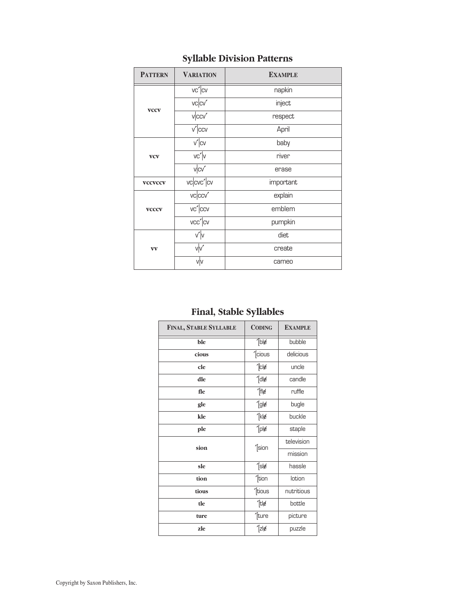| <b>PATTERN</b>                                               | <b>VARIATION</b>    | <b>EXAMPLE</b> |  |
|--------------------------------------------------------------|---------------------|----------------|--|
|                                                              | $vc'$ <sub>CV</sub> | napkin         |  |
| <b>VCCV</b>                                                  | vcccv'              | inject         |  |
|                                                              | vccv'               | respect        |  |
|                                                              | $\overline{v'}$ CCV | April          |  |
|                                                              | $v' _{CV}$          | baby           |  |
| <b>VCV</b>                                                   | vc' v               | river          |  |
|                                                              | vcv'                | erase          |  |
| <b>VCCVCCV</b>                                               | vccc'cv             | important      |  |
|                                                              | vcccv'              | explain        |  |
| $\overline{vc'}$ ccv<br><b>VCCCV</b><br>$vec/$ <sub>CV</sub> |                     | emblem         |  |
|                                                              |                     | pumpkin        |  |
|                                                              | v' v                | diet           |  |
| $\mathbf{v}\mathbf{v}$                                       | $\sqrt{v'}$         | create         |  |
| v v                                                          |                     | cameo          |  |

## **Syllable Division Patterns**

## **Final, Stable Syllables**

| FINAL, STABLE SYLLABLE | <b>CODING</b>    | <b>EXAMPLE</b> |
|------------------------|------------------|----------------|
| ble                    | $T_{\text{b}}$   | bubble         |
| cious                  | '[cious          | delicious      |
| cle                    | $^{\prime}$ cles | uncle          |
| dle                    | $^{\prime}$ [dle | candle         |
| fle                    | '[fl∉            | ruffle         |
| gle                    | $^{\prime}$ [glø | bugle          |
| kle                    | '[klø            | buckle         |
| ple                    | $^{\prime}$ [ple | staple         |
| sion                   | '[sion           | television     |
|                        |                  | mission        |
| sle                    | $^{\prime}$ [slg | hassle         |
| tion                   | '[tion           | lotion         |
| tious                  | '[tious          | nutritious     |
| tle                    | '[tle            | bottle         |
| ture                   | '[ture           | picture        |
| zle                    | $^{\prime}$ [zlø | puzzle         |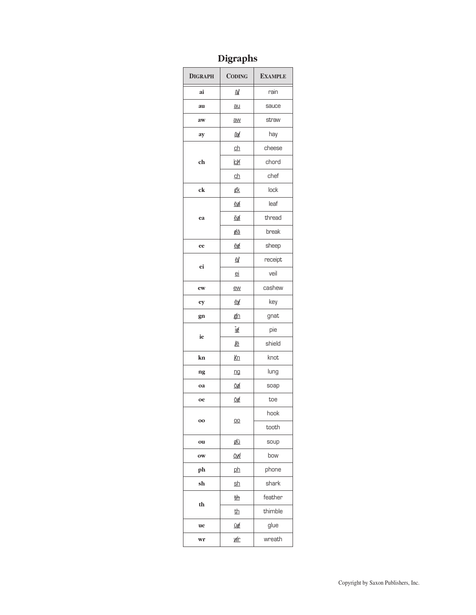## Digraphs

| <b>DIGRAPH</b> | <b>CODING</b>          | <b>EXAMPLE</b> |
|----------------|------------------------|----------------|
| ai             | āľ                     | rain           |
| au             | $au$                   | sauce          |
| aw             | $\overline{\text{aw}}$ | straw          |
| ay             | āу.                    | hay            |
|                | $\underline{ch}$       | cheese         |
| ch             | <u>си</u>              | chord          |
|                | <u>gh</u>              | chef           |
| c <b>k</b>     | ₫k                     | lock           |
|                | ēø                     | leaf           |
| ea             | ĕø                     | thread         |
|                | ₫ā                     | break          |
| ee             | ē¢                     | sheep          |
| ei             | ₫                      | receipt        |
|                | ei                     | veil           |
| ew             | ew                     | cashew         |
| ey             | ē∦                     | key            |
| gn             | gn                     | gnat           |
| ie             | Ī₫                     | pie            |
|                | įē                     | shield         |
| kn             | <u>Kn</u>              | knot           |
| ng             | ng                     | lung           |
| oa             | ōø                     | soap           |
| oe             | ō¢                     | toe            |
| 00             | $\underline{00}$       | hook           |
|                |                        | tooth          |
| ou             | Øū                     | soup           |
| ow             | <u>ōw</u>              | bow            |
| ph             | ph                     | phone          |
| sh             | <u>sh</u>              | shark          |
| th             | 曲                      | feather        |
|                | <u>th</u>              | thimble        |
| ue             | ū₫                     | glue           |
| wr             | <u>wír</u>             | wreath         |